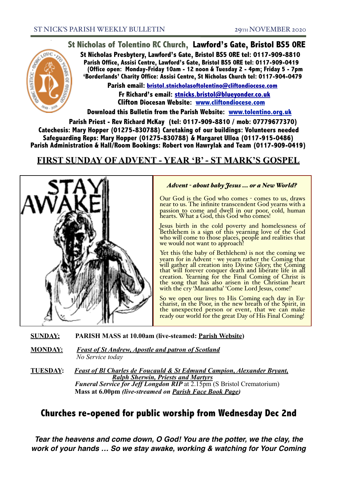## **St Nicholas of Tolentino RC Church, Lawford's Gate, Bristol BS5 0RE**

**St Nicholas Presbytery, Lawford's Gate, Bristol BS5 0RE tel: 0117-909-8810 Parish Office, Assisi Centre, Lawford's Gate, Bristol BS5 0RE tel: 0117-909-0419 (Office open: Monday-Friday 10am - 12 noon & Tuesday 2 - 4pm; Friday 5 - 7pm 'Borderlands' Charity Office: Assisi Centre, St Nicholas Church tel: 0117-904-0479**

**Parish email: [bristol.stnicholasoftolentino@cliftondiocese.com](mailto:bristol.stnicholasoftolentino@cliftondiocese.com) Fr Richard's email: [stnicks.bristol@blueyonder.co.uk](mailto:stnicks.bristol@blueyonder.co.uk) Clifton Diocesan Website: [www.cliftondiocese.com](http://www.cliftondiocese.com)**

**Download this Bulletin from the Parish Website: [www.tolentino.org.uk](http://www.cliftondiocese.com) Parish Priest - Rev Richard McKay (tel: 0117-909-8810 / mob: 07779677370) Catechesis: Mary Hopper (01275-830788) Caretaking of our buildings: Volunteers needed Safeguarding Reps: Mary Hopper (01275-830788) & Margaret Ulloa (0117-915-0486) Parish Administration & Hall/Room Bookings: Robert von Hawrylak and Team (0117-909-0419)**

# **FIRST SUNDAY OF ADVENT - YEAR 'B' - ST MARK'S GOSPEL**



#### *Advent - about baby Jesus ... or a New World?*

Our God is the God who comes - comes to us, draws near to us. The infinite transcendent God yearns with a passion to come and dwell in our poor, cold, human hearts. What a God, this God who comes!

Jesus birth in the cold poverty and homelessness of Bethlehem is a sign of this yearning love of the God who will come to those places, people and realities that we would not want to approach!

Yet this (the baby of Bethlehem) is not the coming we yearn for in Advent - we yearn rather the Coming that will gather all creation into Divine Glory, the Coming that will forever conquer death and liberate life in all creation. Yearning for the Final Coming of Christ is the song that has also arisen in the Christian heart with the cry 'Maranatha' 'Come Lord Jesus, come!'

So we open our lives to His Coming each day in Eu- charist, in the Poor, in the new breath of the Spirit, in the unexpected person or event, that we can make ready our world for the great Day of His Final Coming!

**SUNDAY: PARISH MASS at 10.00am (live-steamed: Parish Website)** 

**MONDAY: Feast of St Andrew, Apostle and patron of Scotland** *No Service today*

**TUESDAY:** *Feast of Bl Charles de Foucauld & St Edmund Campion, Alexander Bryant, Ralph Sherwin, Priests and Martyrs***<br><b>***Funeral Service for Jeff Longdon RIP* at 2.15pm (S Bristol Crematorium)  **Mass at 6.00pm** *(live-streamed on Parish Face Book Page)* 

# **Churches re-opened for public worship from Wednesday Dec 2nd**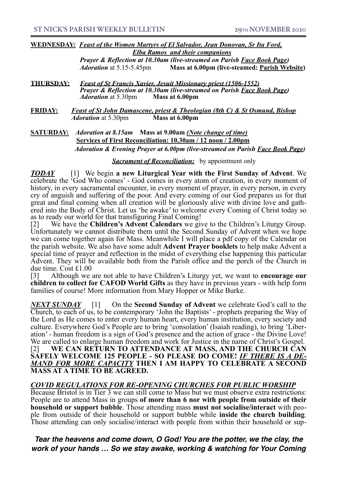**WEDNESDAY:** *Feast of the Women Martyrs of El Salvador, Jean Donovan, Sr Ita Ford, Elba Ramos and their companions*

> *Prayer & Reflection at 10.30am (live-streamed on Parish Face Book Page) Adoration* at 5.15-5.45pm **Mass at 6.00pm (live-steamed: Parish Website)**

- **THURSDAY:** *Feast of St Francis Xavier, Jesuit Missionary priest (1506-1552) Prayer & Reflection at 10.30am (live-streamed on Parish Face Book Page) Adoration* at 5.30pm **Mass at 6.00pm**
- **FRIDAY:** *Feast of St John Damascene, priest & Theologian (8th C) & St Osmund, Bishop Adoration* at 5.30pm **Mass at 6.00pm**
- **SATURDAY:** *Adoration at 8.15am* **Mass at 9.00am** *(Note change of time)* **Services of First Reconciliation: 10.30am / 12 noon / 2.00pm** *Adoration & Evening Prayer at 6.00pm (live-streamed on Parish Face Book Page)*

#### *<u>Sacrament of Reconciliation:</u>* by appointment only

*TODAY* [1] We begin **a new Liturgical Year with the First Sunday of Advent**. We celebrate the 'God Who comes' - God comes in every atom of creation, in every moment of history, in every sacramental encounter, in every moment of prayer, in every person, in every cry of anguish and suffering of the poor. And every coming of our God prepares us for that great and final coming when all creation will be gloriously alive with divine love and gathered into the Body of Christ. Let us 'be awake' to welcome every Coming of Christ today so as to ready our world for that transfiguring Final Coming!

[2] We have the **Children's Advent Calendars** we give to the Children's Liturgy Group. Unfortunately we cannot distribute them until the Second Sunday of Advent when we hope we can come together again for Mass. Meanwhile I will place a pdf copy of the Calendar on the parish website. We also have some adult **Advent Prayer booklets** to help make Advent a special time of prayer and reflection in the midst of everything else happening this particular Advent. They will be available both from the Parish office and the porch of the Church in due time. Cost £1.00

[3] Although we are not able to have Children's Liturgy yet, we want to **encourage our children to collect for CAFOD World Gifts** as they have in previous years - with help form families of course! More information from Mary Hopper or Mike Burke.

*NEXT SUNDAY* [1] On the **Second Sunday of Advent** we celebrate God's call to the Church, to each of us, to be contemporary 'John the Baptists' - prophets preparing the Way of the Lord as He comes to enter every human heart, every human institution, every society and culture. Everywhere God's People are to bring 'consolation' (Isaiah reading), to bring 'Liberation' - human freedom is a sign of God's presence and the action of grace - the Divine Love! We are called to enlarge human freedom and work for Justice in the name of Christ's Gospel. [2] **WE CAN RETURN TO ATTENDANCE AT MASS, AND THE CHURCH CAN SAFELY WELCOME 125 PEOPLE - SO PLEASE DO COME!** *IF THERE IS A DE-MAND FOR MORE CAPACITY* **THEN I AM HAPPY TO CELEBRATE A SECOND MASS AT A TIME TO BE AGREED.**

#### *COVID REGULATIONS FOR RE-OPENING CHURCHES FOR PUBLIC WORSHIP*

Because Bristol is in Tier 3 we can still come to Mass but we must observe extra restrictions: People are to attend Mass in groups of more than 6 nor with people from outside of their household or support bubble. Those attending mass must not socialise/interact with people from outside of their household or support bubble while **inside the church building**.<br>Those attending can only socialise/interact with people from within their household or sup-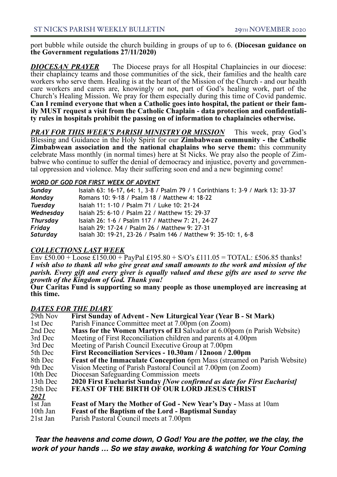port bubble while outside the church building in groups of up to 6. **(Diocesan guidance on the Government regulations 27/11/2020)**

**DIOCESAN PRAYER** The Diocese prays for all Hospital Chaplaincies in our diocese: their chaplaincy teams and those communities of the sick, their families and the health care workers who serve them. Healing is at the heart of the Mission of the Church - and our health care workers and carers are, knowingly or not, part of God's healing work, part of the Church's Healing Mission. We pray for them especially during this time of Covid pandemic. **Can I remind everyone that when a Catholic goes into hospital, the patient or their family MUST request a visit from the Catholic Chaplain - data protection and confidentiality rules in hospitals prohibit the passing on of information to chaplaincies otherwise.** 

*PRAY FOR THIS WEEK'S PARISH MINISTRY OR MISSION* This week, pray God's Blessing and Guidance in the Holy Spirit for our **Zimbabwean community - the Catholic Zimbabwean association and the national chaplains who serve them:** this community celebrate Mass monthly (in normal times) here at St Nicks. We pray also the people of Zimbabwe who continue to suffer the denial of democracy and injustice, poverty and governmental oppression and violence. May their suffering soon end and a new beginning come!

#### l *WORD OF GOD FOR FIRST WEEK OF ADVENT*

| Sunday          | Isaiah 63: 16-17, 64: 1, 3-8 / Psalm 79 / 1 Corinthians 1: 3-9 / Mark 13: 33-37 |
|-----------------|---------------------------------------------------------------------------------|
| Monday          | Romans 10: 9-18 / Psalm 18 / Matthew 4: 18-22                                   |
| <b>Tuesday</b>  | Isaiah 11: 1-10 / Psalm 71 / Luke 10: 21-24                                     |
| Wednesday       | Isaiah 25: 6-10 / Psalm 22 / Matthew 15: 29-37                                  |
| <b>Thursday</b> | Isaiah 26: 1-6 / Psalm 117 / Matthew 7: 21, 24-27                               |
| Friday          | Isaiah 29: 17-24 / Psalm 26 / Matthew 9: 27-31                                  |
| Saturday        | Isaiah 30: 19-21, 23-26 / Psalm 146 / Matthew 9: 35-10: 1, 6-8                  |

*COLLECTIONS LAST WEEK*<br>Env £50.00 + Loose £150.00 + PayPal £195.80 + S/O's £111.05 = TOTAL: £506.85 thanks! *I wish also to thank all who give great and small amounts to the work and mission of the parish. Every gift and every giver is equally valued and these gifts are used to serve the growth of the Kingdom of God. Thank you!* 

**Our Caritas Fund is supporting so many people as those unemployed are increasing at this time.**

### *DATES FOR THE DIARY*

| 29th Nov    | First Sunday of Advent - New Liturgical Year (Year B - St Mark)                 |
|-------------|---------------------------------------------------------------------------------|
| 1st Dec     | Parish Finance Committee meet at 7.00pm (on Zoom)                               |
| 2nd Dec     | <b>Mass for the Women Martyrs of El Salvador at 6.00pom (n Parish Website)</b>  |
| 3rd Dec     | Meeting of First Reconciliation children and parents at 4.00pm                  |
| 3rd Dec     | Meeting of Parish Council Executive Group at 7.00pm                             |
| 5th Dec     | First Reconciliation Services - 10.30am / 12noon / 2.00pm                       |
| 8th Dec     | <b>Feast of the Immaculate Conception</b> 6pm Mass (streamed on Parish Website) |
| 9th Dec     | Vision Meeting of Parish Pastoral Council at 7.00pm (on Zoom)                   |
| 10th Dec    | Diocesan Safeguarding Commission meets                                          |
| 13th Dec    | 2020 First Eucharist Sunday <i>[Now confirmed as date for First Eucharist]</i>  |
| 25th Dec    | FEAST OF THE BIRTH OF OUR LORD JESUS CHRIST                                     |
| <b>2021</b> |                                                                                 |
| 1st Jan     | <b>Feast of Mary the Mother of God - New Year's Day - Mass at 10am</b>          |
| 10th Jan    | <b>Feast of the Baptism of the Lord - Baptismal Sunday</b>                      |
| 21st Jan    | Parish Pastoral Council meets at 7.00pm                                         |
|             |                                                                                 |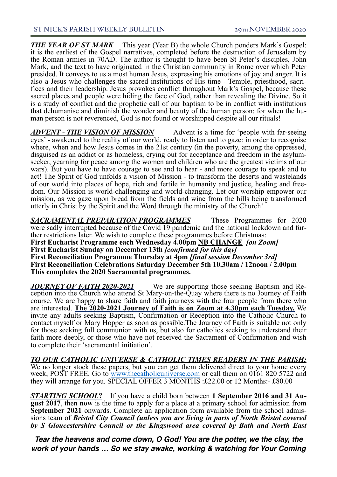**THE YEAR OF ST MARK** This year (Year B) the whole Church ponders Mark's Gospel: it is the earliest of the Gospel narratives, completed before the destruction of Jerusalem by the Roman armies in 70AD. The author is thought to have been St Peter's disciples, John Mark, and the text to have originated in the Christian community in Rome over which Peter presided. It conveys to us a most human Jesus, expressing his emotions of joy and anger. It is also a Jesus who challenges the sacred institutions of His time - Temple, priesthood, sacrifices and their leadership. Jesus provokes conflict throughout Mark's Gospel, because these sacred places and people were hiding the face of God, rather than revealing the Divine. So it is a study of conflict and the prophetic call of our baptism to be in conflict with institutions that dehumanise and diminish the wonder and beauty of the human person: for when the human person is not reverenced, God is not found or worshipped despite all our rituals!

*ADVENT - THE VISION OF MISSION* Advent is a time for 'people with far-seeing eyes' - awakened to the reality of our world, ready to listen and to gaze: in order to recognise where, when and how Jesus comes in the 21st century (in the poverty, among the oppressed, disguised as an addict or as homeless, crying out for acceptance and freedom in the asylumseeker, yearning for peace among the women and children who are the greatest victims of our wars). But you have to have courage to see and to hear - and more courage to speak and to act! The Spirit of God unfolds a vision of Mission - to transform the deserts and wastelands of our world into places of hope, rich and fertile in humanity and justice, healing and freedom. Our Mission is world-challenging and world-changing. Let our worship empower our mission, as we gaze upon bread from the fields and wine from the hills being transformed utterly in Christ by the Spirit and the Word through the ministry of the Church!

*SACRAMENTAL PREPARATION PROGRAMMES* These Programmes for 2020 were sadly interrupted because of the Covid 19 pandemic and the national lockdown and fur- ther restrictions later. We wish to complete these programmes before Christmas: **First Eucharist Programme each Wednesday 4.00pm NB CHANGE** *[on Zoom]* **First Eucharist Sunday on December 13th** *[confirmed for this day]* **First Reconciliation Programme Thursday at 4pm** *[final session December 3rd]* **First Reconciliation Celebrations Saturday December 5th 10.30am / 12noon / 2.00pm This completes the 2020 Sacramental programmes.** 

*JOURNEY OF FAITH 2020-2021* We are supporting those seeking Baptism and Reception into the Church who attend St Mary-on-the-Quay where there is no Journey of Faith course. We are happy to share faith and faith journeys with the four people from there who are interested. **The 2020-2021 Journey of Faith is on Zoom at 4.30pm each Tuesday.** We invite any adults seeking Baptism, Confirmation or Reception into the Catholic Church to contact myself or Mary Hopper as soon as possible.The Journey of Faith is suitable not only for those seeking full communion with us, but also for catholics seeking to understand their faith more deeply, or those who have not received the Sacrament of Confirmation and wish to complete their 'sacramental initiation'.

#### *TO OUR CATHOLIC UNIVERSE & CATHOLIC TIMES READERS IN THE PARISH:*

We no longer stock these papers, but you can get them delivered direct to your home every week, POST FREE. Go to [www.thecatholicuniverse.com](https://eur02.safelinks.protection.outlook.com/?url=http%3A%2F%2Fwww.thecatholicuniverse.com%2F&data=04%7C01%7Cbristol.stnicholasoftolentino%40cliftondiocese.com%7C6b4ed05217484db345d408d891fdb724%7Cf10b8f13604e4fa29e1204a7fad22e94%7C0%7C1%7C637419866213897710%7CUnknown%7CTWFpbGZsb3d8eyJWIjoiMC4wLjAwMDAiLCJQIjoiV2luMzIiLCJBTiI6Ik1haWwiLCJXVCI6Mn0%3D%7C2000&sdata=DmdyS%2B7hPdWsENh1vFvwaiqJsEmtIWHI4ixiNlFFW3Y%3D&reserved=0) or call them on 0161 820 5722 and they will arrange for you. SPECIAL OFFER 3 MONTHS :£22.00 or 12 Months:- £80.00

*STARTING SCHOOL***?** If you have a child born between **1 September 2016 and 31 Au- gust 2017**, then **now** is the time to apply for a place at a primary school for admission from **September 2021** onwards. Complete an application form available from the school admis- sions team of *Bristol City Council (unless you are living in parts of North Bristol covered by S Gloucestershire Council or the Kingswood area covered by Bath and North East*